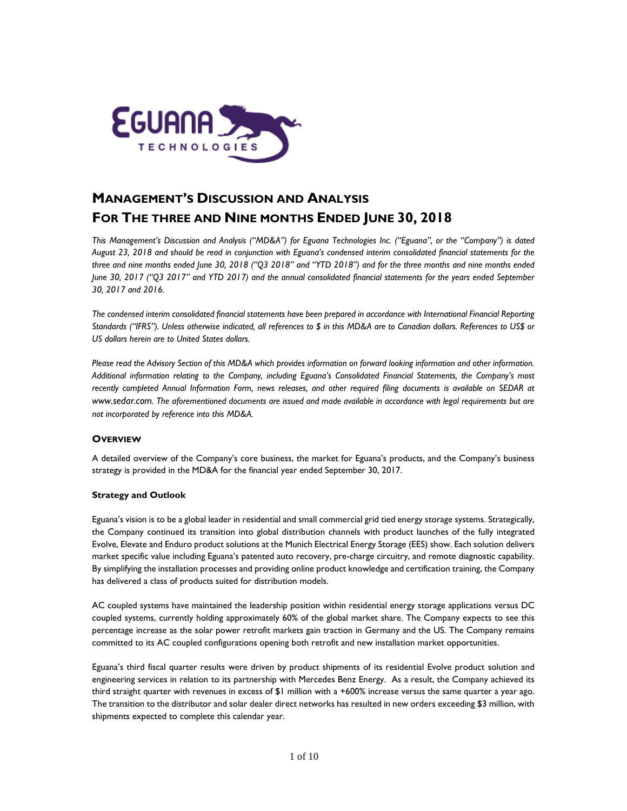

# **MANAGEMENT'S DISCUSSION AND ANALYSIS FOR THE THREE AND NINE MONTHS ENDED JUNE 30, 2018**

*This Management's Discussion and Analysis ("MD&A") for Eguana Technologies Inc. ("Eguana", or the "Company") is dated August 23, 2018 and should be read in conjunction with Eguana's condensed interim consolidated financial statements for the three and nine months ended June 30, 2018 ("Q3 2018" and "YTD 2018") and for the three months and nine months ended June 30, 2017 ("Q3 2017" and YTD 2017) and the annual consolidated financial statements for the years ended September 30, 2017 and 2016.* 

*The condensed interim consolidated financial statements have been prepared in accordance with International Financial Reporting Standards ("IFRS"). Unless otherwise indicated, all references to \$ in this MD&A are to Canadian dollars. References to US\$ or US dollars herein are to United States dollars.*

*Please read the Advisory Section of this MD&A which provides information on forward looking information and other information. Additional information relating to the Company, including Eguana's Consolidated Financial Statements, the Company's most*  recently completed Annual Information Form, news releases, and other required filing documents is available on SEDAR at *[www.sedar.com.](http://www.sedar.com/) The aforementioned documents are issued and made available in accordance with legal requirements but are not incorporated by reference into this MD&A.*

# **OVERVIEW**

A detailed overview of the Company's core business, the market for Eguana's products, and the Company's business strategy is provided in the MD&A for the financial year ended September 30, 2017.

## **Strategy and Outlook**

Eguana's vision is to be a global leader in residential and small commercial grid tied energy storage systems. Strategically, the Company continued its transition into global distribution channels with product launches of the fully integrated Evolve, Elevate and Enduro product solutions at the Munich Electrical Energy Storage (EES) show. Each solution delivers market specific value including Eguana's patented auto recovery, pre-charge circuitry, and remote diagnostic capability. By simplifying the installation processes and providing online product knowledge and certification training, the Company has delivered a class of products suited for distribution models.

AC coupled systems have maintained the leadership position within residential energy storage applications versus DC coupled systems, currently holding approximately 60% of the global market share. The Company expects to see this percentage increase as the solar power retrofit markets gain traction in Germany and the US. The Company remains committed to its AC coupled configurations opening both retrofit and new installation market opportunities.

Eguana's third fiscal quarter results were driven by product shipments of its residential Evolve product solution and engineering services in relation to its partnership with Mercedes Benz Energy. As a result, the Company achieved its third straight quarter with revenues in excess of \$1 million with a +600% increase versus the same quarter a year ago. The transition to the distributor and solar dealer direct networks has resulted in new orders exceeding \$3 million, with shipments expected to complete this calendar year.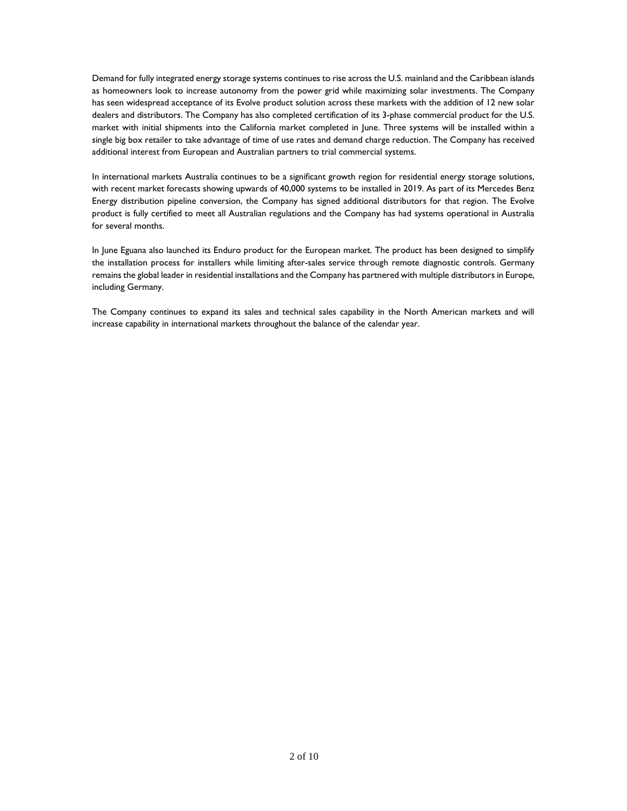Demand for fully integrated energy storage systems continues to rise across the U.S. mainland and the Caribbean islands as homeowners look to increase autonomy from the power grid while maximizing solar investments. The Company has seen widespread acceptance of its Evolve product solution across these markets with the addition of 12 new solar dealers and distributors. The Company has also completed certification of its 3-phase commercial product for the U.S. market with initial shipments into the California market completed in June. Three systems will be installed within a single big box retailer to take advantage of time of use rates and demand charge reduction. The Company has received additional interest from European and Australian partners to trial commercial systems.

In international markets Australia continues to be a significant growth region for residential energy storage solutions, with recent market forecasts showing upwards of 40,000 systems to be installed in 2019. As part of its Mercedes Benz Energy distribution pipeline conversion, the Company has signed additional distributors for that region. The Evolve product is fully certified to meet all Australian regulations and the Company has had systems operational in Australia for several months.

In June Eguana also launched its Enduro product for the European market. The product has been designed to simplify the installation process for installers while limiting after-sales service through remote diagnostic controls. Germany remains the global leader in residential installations and the Company has partnered with multiple distributors in Europe, including Germany.

The Company continues to expand its sales and technical sales capability in the North American markets and will increase capability in international markets throughout the balance of the calendar year.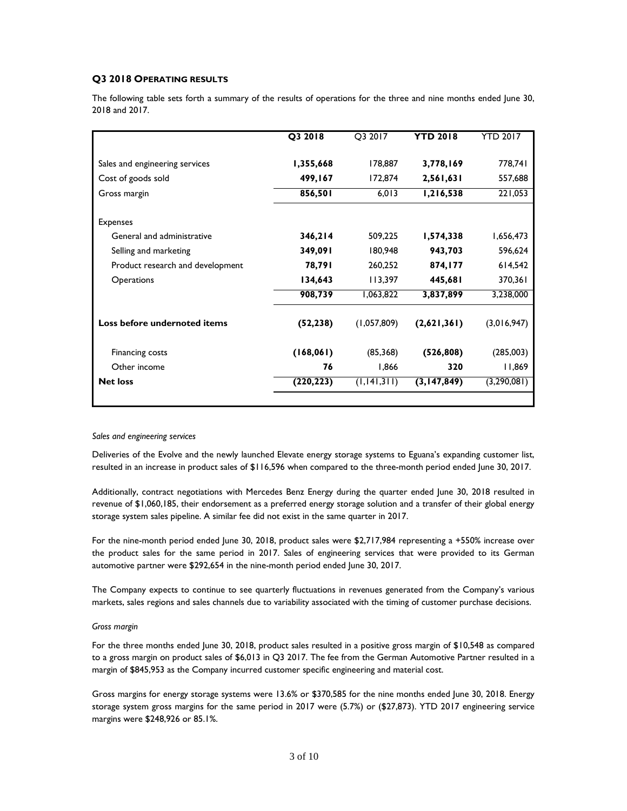# **Q3 2018 OPERATING RESULTS**

The following table sets forth a summary of the results of operations for the three and nine months ended June 30, 2018 and 2017.

|                                  | Q3 2018    | O3 2017       | <b>YTD 2018</b> | <b>YTD 2017</b> |
|----------------------------------|------------|---------------|-----------------|-----------------|
| Sales and engineering services   | 1,355,668  | 178,887       | 3,778,169       | 778,741         |
| Cost of goods sold               | 499,167    | 172,874       | 2,561,631       | 557,688         |
| Gross margin                     | 856,501    | 6,013         | 1,216,538       | 221,053         |
| <b>Expenses</b>                  |            |               |                 |                 |
| General and administrative       | 346,214    | 509,225       | 1,574,338       | 1,656,473       |
| Selling and marketing            | 349,091    | 180,948       | 943,703         | 596,624         |
| Product research and development | 78,791     | 260,252       | 874,177         | 614,542         |
| <b>Operations</b>                | 134,643    | 113,397       | 445,681         | 370,361         |
|                                  | 908,739    | 1,063,822     | 3,837,899       | 3,238,000       |
| Loss before undernoted items     | (52, 238)  | (1,057,809)   | (2,621,361)     | (3,016,947)     |
| Financing costs                  | (168, 061) | (85, 368)     | (526, 808)      | (285,003)       |
| Other income                     | 76         | 1,866         | 320             | 11,869          |
| <b>Net loss</b>                  | (220, 223) | (1, 141, 311) | (3,147,849)     | (3,290,081)     |
|                                  |            |               |                 |                 |

#### *Sales and engineering services*

Deliveries of the Evolve and the newly launched Elevate energy storage systems to Eguana's expanding customer list, resulted in an increase in product sales of \$116,596 when compared to the three-month period ended June 30, 2017.

Additionally, contract negotiations with Mercedes Benz Energy during the quarter ended June 30, 2018 resulted in revenue of \$1,060,185, their endorsement as a preferred energy storage solution and a transfer of their global energy storage system sales pipeline. A similar fee did not exist in the same quarter in 2017.

For the nine-month period ended June 30, 2018, product sales were \$2,717,984 representing a +550% increase over the product sales for the same period in 2017. Sales of engineering services that were provided to its German automotive partner were \$292,654 in the nine-month period ended June 30, 2017.

The Company expects to continue to see quarterly fluctuations in revenues generated from the Company's various markets, sales regions and sales channels due to variability associated with the timing of customer purchase decisions.

## *Gross margin*

For the three months ended June 30, 2018, product sales resulted in a positive gross margin of \$10,548 as compared to a gross margin on product sales of \$6,013 in Q3 2017. The fee from the German Automotive Partner resulted in a margin of \$845,953 as the Company incurred customer specific engineering and material cost.

Gross margins for energy storage systems were 13.6% or \$370,585 for the nine months ended June 30, 2018. Energy storage system gross margins for the same period in 2017 were (5.7%) or (\$27,873). YTD 2017 engineering service margins were \$248,926 or 85.1%.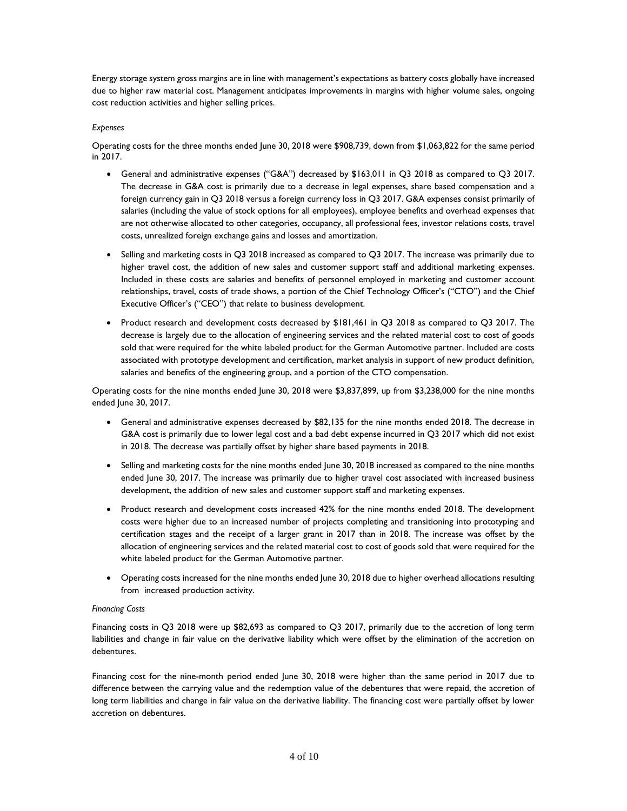Energy storage system gross margins are in line with management's expectations as battery costs globally have increased due to higher raw material cost. Management anticipates improvements in margins with higher volume sales, ongoing cost reduction activities and higher selling prices.

## *Expenses*

Operating costs for the three months ended June 30, 2018 were \$908,739, down from \$1,063,822 for the same period in 2017.

- General and administrative expenses ("G&A") decreased by \$163,011 in Q3 2018 as compared to Q3 2017. The decrease in G&A cost is primarily due to a decrease in legal expenses, share based compensation and a foreign currency gain in Q3 2018 versus a foreign currency loss in Q3 2017. G&A expenses consist primarily of salaries (including the value of stock options for all employees), employee benefits and overhead expenses that are not otherwise allocated to other categories, occupancy, all professional fees, investor relations costs, travel costs, unrealized foreign exchange gains and losses and amortization.
- Selling and marketing costs in Q3 2018 increased as compared to Q3 2017. The increase was primarily due to higher travel cost, the addition of new sales and customer support staff and additional marketing expenses. Included in these costs are salaries and benefits of personnel employed in marketing and customer account relationships, travel, costs of trade shows, a portion of the Chief Technology Officer's ("CTO") and the Chief Executive Officer's ("CEO") that relate to business development.
- Product research and development costs decreased by \$181,461 in Q3 2018 as compared to Q3 2017. The decrease is largely due to the allocation of engineering services and the related material cost to cost of goods sold that were required for the white labeled product for the German Automotive partner. Included are costs associated with prototype development and certification, market analysis in support of new product definition, salaries and benefits of the engineering group, and a portion of the CTO compensation.

Operating costs for the nine months ended June 30, 2018 were \$3,837,899, up from \$3,238,000 for the nine months ended June 30, 2017.

- General and administrative expenses decreased by \$82,135 for the nine months ended 2018. The decrease in G&A cost is primarily due to lower legal cost and a bad debt expense incurred in Q3 2017 which did not exist in 2018. The decrease was partially offset by higher share based payments in 2018.
- Selling and marketing costs for the nine months ended June 30, 2018 increased as compared to the nine months ended June 30, 2017. The increase was primarily due to higher travel cost associated with increased business development, the addition of new sales and customer support staff and marketing expenses.
- Product research and development costs increased 42% for the nine months ended 2018. The development costs were higher due to an increased number of projects completing and transitioning into prototyping and certification stages and the receipt of a larger grant in 2017 than in 2018. The increase was offset by the allocation of engineering services and the related material cost to cost of goods sold that were required for the white labeled product for the German Automotive partner.
- Operating costs increased for the nine months ended June 30, 2018 due to higher overhead allocations resulting from increased production activity.

## *Financing Costs*

Financing costs in Q3 2018 were up \$82,693 as compared to Q3 2017, primarily due to the accretion of long term liabilities and change in fair value on the derivative liability which were offset by the elimination of the accretion on debentures.

Financing cost for the nine-month period ended June 30, 2018 were higher than the same period in 2017 due to difference between the carrying value and the redemption value of the debentures that were repaid, the accretion of long term liabilities and change in fair value on the derivative liability. The financing cost were partially offset by lower accretion on debentures.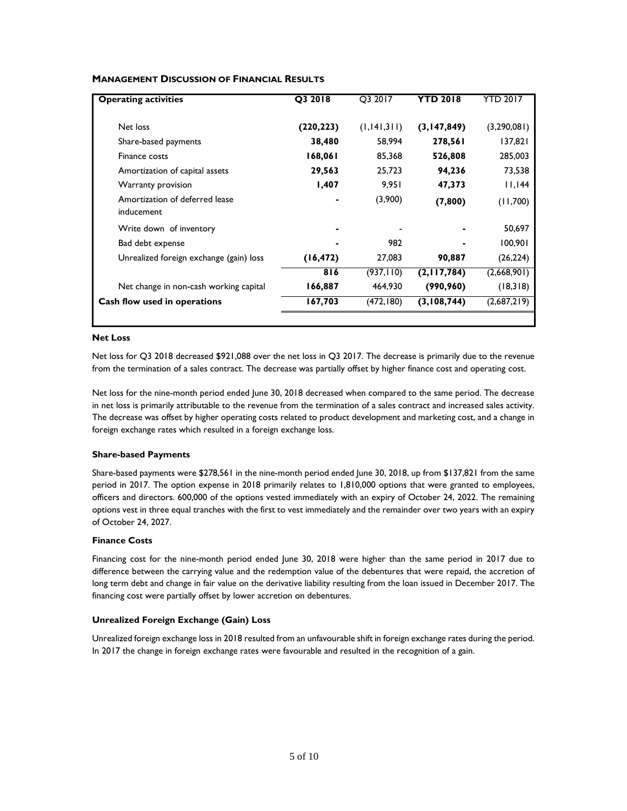| <b>Operating activities</b>                  | Q3 2018   | Q3 2017       | <b>YTD 2018</b> | YTD 2017    |
|----------------------------------------------|-----------|---------------|-----------------|-------------|
| Net loss                                     | (220,223) | (1, 141, 311) | (3,147,849)     | (3,290,081) |
| Share-based payments                         | 38,480    | 58,994        | 278,561         | 137,821     |
| Finance costs                                | 168,061   | 85,368        | 526,808         | 285,003     |
| Amortization of capital assets               | 29,563    | 25,723        | 94,236          | 73,538      |
| Warranty provision                           | 1,407     | 9,951         | 47,373          | 44          |
| Amortization of deferred lease<br>inducement |           | (3,900)       | (7,800)         | (11,700)    |
| Write down of inventory                      |           |               |                 | 50,697      |
| Bad debt expense                             |           | 982           |                 | 100,901     |
| Unrealized foreign exchange (gain) loss      | (16, 472) | 27,083        | 90,887          | (26, 224)   |
|                                              | 816       | (937, 110)    | (2,117,784)     | (2,668,901) |
| Net change in non-cash working capital       | 166,887   | 464,930       | (990, 960)      | (18,318)    |
| Cash flow used in operations                 | 167,703   | (472,180)     | (3,108,744)     | (2,687,219) |
|                                              |           |               |                 |             |

# **MANAGEMENT DISCUSSION OF FINANCIAL RESULTS**

## **Net Loss**

Net loss for Q3 2018 decreased \$921,088 over the net loss in Q3 2017. The decrease is primarily due to the revenue from the termination of a sales contract. The decrease was partially offset by higher finance cost and operating cost.

Net loss for the nine-month period ended June 30, 2018 decreased when compared to the same period. The decrease in net loss is primarily attributable to the revenue from the termination of a sales contract and increased sales activity. The decrease was offset by higher operating costs related to product development and marketing cost, and a change in foreign exchange rates which resulted in a foreign exchange loss.

## **Share-based Payments**

Share-based payments were \$278,561 in the nine-month period ended June 30, 2018, up from \$137,821 from the same period in 2017. The option expense in 2018 primarily relates to 1,810,000 options that were granted to employees, officers and directors. 600,000 of the options vested immediately with an expiry of October 24, 2022. The remaining options vest in three equal tranches with the first to vest immediately and the remainder over two years with an expiry of October 24, 2027.

## **Finance Costs**

Financing cost for the nine-month period ended June 30, 2018 were higher than the same period in 2017 due to difference between the carrying value and the redemption value of the debentures that were repaid, the accretion of long term debt and change in fair value on the derivative liability resulting from the loan issued in December 2017. The financing cost were partially offset by lower accretion on debentures.

# **Unrealized Foreign Exchange (Gain) Loss**

Unrealized foreign exchange loss in 2018 resulted from an unfavourable shift in foreign exchange rates during the period. In 2017 the change in foreign exchange rates were favourable and resulted in the recognition of a gain.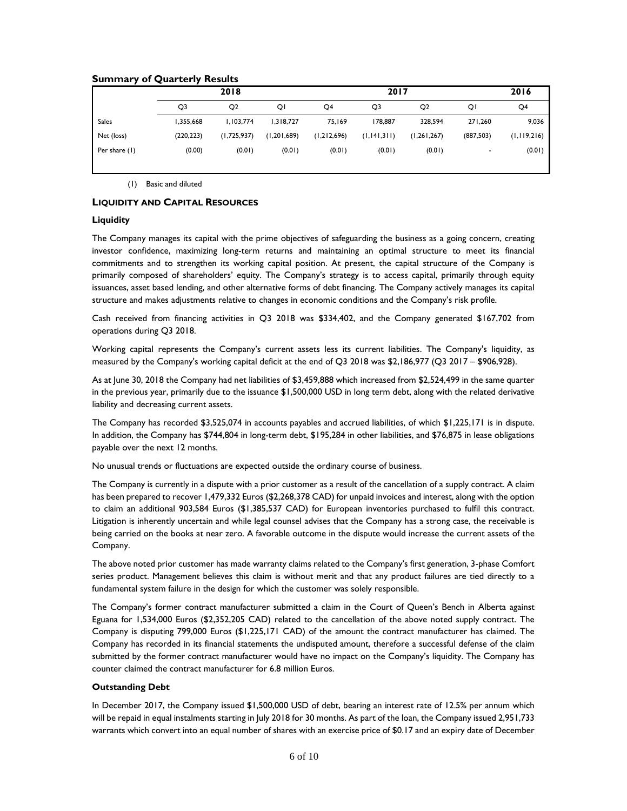# **Summary of Quarterly Results**

|            | 2018           |               |             |               |                |                          | 2016        |
|------------|----------------|---------------|-------------|---------------|----------------|--------------------------|-------------|
| Q3         | Q <sub>2</sub> | QI            | Q4          | Q3            | Q <sub>2</sub> | QI                       | Q4          |
| 1,355,668  | 1,103,774      | 1,318,727     | 75,169      | 178,887       | 328,594        | 271,260                  | 9,036       |
| (220, 223) | (1,725,937)    | (1, 201, 689) | (1,212,696) | (1, 141, 311) | (1, 261, 267)  | (887, 503)               | (1,119,216) |
| (0.00)     | (0.01)         | (0.01)        | (0.01)      | (0.01)        | (0.01)         | $\overline{\phantom{0}}$ | (0.01)      |
|            |                |               |             |               |                | 2017                     |             |

(1) Basic and diluted

## **LIQUIDITY AND CAPITAL RESOURCES**

## **Liquidity**

The Company manages its capital with the prime objectives of safeguarding the business as a going concern, creating investor confidence, maximizing long-term returns and maintaining an optimal structure to meet its financial commitments and to strengthen its working capital position. At present, the capital structure of the Company is primarily composed of shareholders' equity. The Company's strategy is to access capital, primarily through equity issuances, asset based lending, and other alternative forms of debt financing. The Company actively manages its capital structure and makes adjustments relative to changes in economic conditions and the Company's risk profile.

Cash received from financing activities in Q3 2018 was \$334,402, and the Company generated \$167,702 from operations during Q3 2018.

Working capital represents the Company's current assets less its current liabilities. The Company's liquidity, as measured by the Company's working capital deficit at the end of Q3 2018 was \$2,186,977 (Q3 2017 – \$906,928).

As at June 30, 2018 the Company had net liabilities of \$3,459,888 which increased from \$2,524,499 in the same quarter in the previous year, primarily due to the issuance \$1,500,000 USD in long term debt, along with the related derivative liability and decreasing current assets.

The Company has recorded \$3,525,074 in accounts payables and accrued liabilities, of which \$1,225,171 is in dispute. In addition, the Company has \$744,804 in long-term debt, \$195,284 in other liabilities, and \$76,875 in lease obligations payable over the next 12 months.

No unusual trends or fluctuations are expected outside the ordinary course of business.

The Company is currently in a dispute with a prior customer as a result of the cancellation of a supply contract. A claim has been prepared to recover 1,479,332 Euros (\$2,268,378 CAD) for unpaid invoices and interest, along with the option to claim an additional 903,584 Euros (\$1,385,537 CAD) for European inventories purchased to fulfil this contract. Litigation is inherently uncertain and while legal counsel advises that the Company has a strong case, the receivable is being carried on the books at near zero. A favorable outcome in the dispute would increase the current assets of the Company.

The above noted prior customer has made warranty claims related to the Company's first generation, 3-phase Comfort series product. Management believes this claim is without merit and that any product failures are tied directly to a fundamental system failure in the design for which the customer was solely responsible.

The Company's former contract manufacturer submitted a claim in the Court of Queen's Bench in Alberta against Eguana for 1,534,000 Euros (\$2,352,205 CAD) related to the cancellation of the above noted supply contract. The Company is disputing 799,000 Euros (\$1,225,171 CAD) of the amount the contract manufacturer has claimed. The Company has recorded in its financial statements the undisputed amount, therefore a successful defense of the claim submitted by the former contract manufacturer would have no impact on the Company's liquidity. The Company has counter claimed the contract manufacturer for 6.8 million Euros.

# **Outstanding Debt**

In December 2017, the Company issued \$1,500,000 USD of debt, bearing an interest rate of 12.5% per annum which will be repaid in equal instalments starting in July 2018 for 30 months. As part of the loan, the Company issued 2,951,733 warrants which convert into an equal number of shares with an exercise price of \$0.17 and an expiry date of December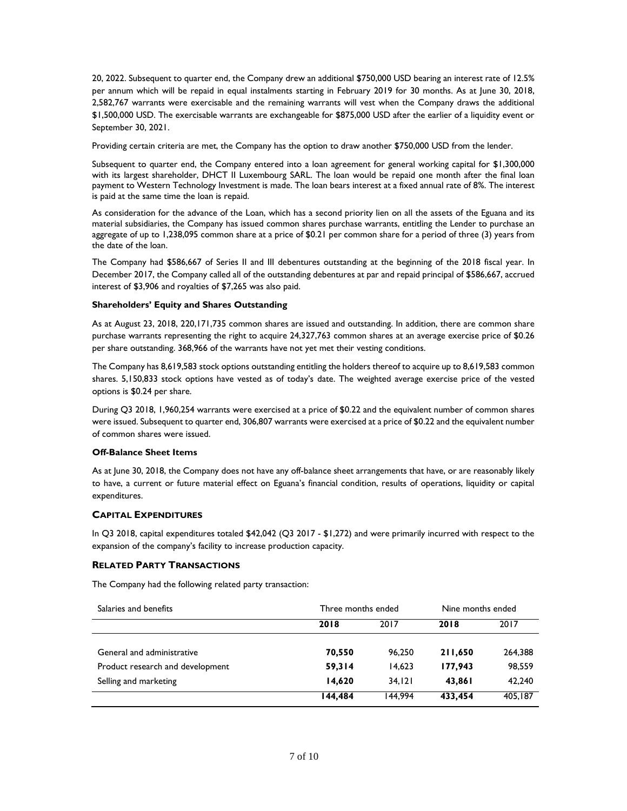20, 2022. Subsequent to quarter end, the Company drew an additional \$750,000 USD bearing an interest rate of 12.5% per annum which will be repaid in equal instalments starting in February 2019 for 30 months. As at June 30, 2018, 2,582,767 warrants were exercisable and the remaining warrants will vest when the Company draws the additional \$1,500,000 USD. The exercisable warrants are exchangeable for \$875,000 USD after the earlier of a liquidity event or September 30, 2021.

Providing certain criteria are met, the Company has the option to draw another \$750,000 USD from the lender.

Subsequent to quarter end, the Company entered into a loan agreement for general working capital for \$1,300,000 with its largest shareholder, DHCT II Luxembourg SARL. The loan would be repaid one month after the final loan payment to Western Technology Investment is made. The loan bears interest at a fixed annual rate of 8%. The interest is paid at the same time the loan is repaid.

As consideration for the advance of the Loan, which has a second priority lien on all the assets of the Eguana and its material subsidiaries, the Company has issued common shares purchase warrants, entitling the Lender to purchase an aggregate of up to 1,238,095 common share at a price of \$0.21 per common share for a period of three (3) years from the date of the loan.

The Company had \$586,667 of Series II and III debentures outstanding at the beginning of the 2018 fiscal year. In December 2017, the Company called all of the outstanding debentures at par and repaid principal of \$586,667, accrued interest of \$3,906 and royalties of \$7,265 was also paid.

## **Shareholders' Equity and Shares Outstanding**

As at August 23, 2018, 220,171,735 common shares are issued and outstanding. In addition, there are common share purchase warrants representing the right to acquire 24,327,763 common shares at an average exercise price of \$0.26 per share outstanding. 368,966 of the warrants have not yet met their vesting conditions.

The Company has 8,619,583 stock options outstanding entitling the holders thereof to acquire up to 8,619,583 common shares. 5,150,833 stock options have vested as of today's date. The weighted average exercise price of the vested options is \$0.24 per share.

During Q3 2018, 1,960,254 warrants were exercised at a price of \$0.22 and the equivalent number of common shares were issued. Subsequent to quarter end, 306,807 warrants were exercised at a price of \$0.22 and the equivalent number of common shares were issued.

## **Off-Balance Sheet Items**

As at June 30, 2018, the Company does not have any off-balance sheet arrangements that have, or are reasonably likely to have, a current or future material effect on Eguana's financial condition, results of operations, liquidity or capital expenditures.

## **CAPITAL EXPENDITURES**

In Q3 2018, capital expenditures totaled \$42,042 (Q3 2017 - \$1,272) and were primarily incurred with respect to the expansion of the company's facility to increase production capacity.

## **RELATED PARTY TRANSACTIONS**

The Company had the following related party transaction:

| Salaries and benefits            | Three months ended |         | Nine months ended |         |
|----------------------------------|--------------------|---------|-------------------|---------|
|                                  | 2018               | 2017    | 2018              | 2017    |
| General and administrative       | 70,550             | 96.250  | 211,650           | 264,388 |
| Product research and development | 59,314             | 14.623  | 177.943           | 98,559  |
| Selling and marketing            | 14.620             | 34.121  | 43.861            | 42,240  |
|                                  | 144.484            | 144.994 | 433,454           | 405,187 |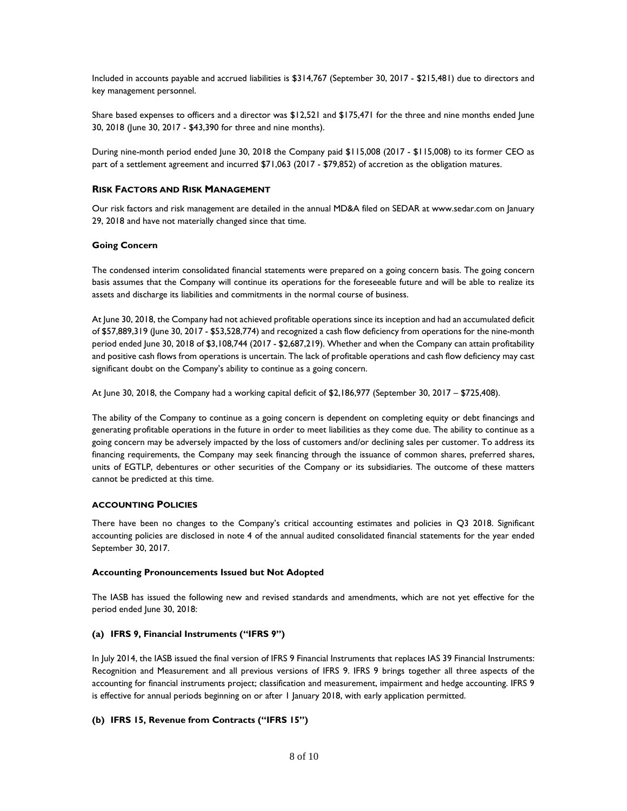Included in accounts payable and accrued liabilities is \$314,767 (September 30, 2017 - \$215,481) due to directors and key management personnel.

Share based expenses to officers and a director was \$12,521 and \$175,471 for the three and nine months ended June 30, 2018 (June 30, 2017 - \$43,390 for three and nine months).

During nine-month period ended June 30, 2018 the Company paid \$115,008 (2017 - \$115,008) to its former CEO as part of a settlement agreement and incurred \$71,063 (2017 - \$79,852) of accretion as the obligation matures.

## **RISK FACTORS AND RISK MANAGEMENT**

Our risk factors and risk management are detailed in the annual MD&A filed on SEDAR at [www.sedar.com](http://www.sedar.com/) on January 29, 2018 and have not materially changed since that time.

## **Going Concern**

The condensed interim consolidated financial statements were prepared on a going concern basis. The going concern basis assumes that the Company will continue its operations for the foreseeable future and will be able to realize its assets and discharge its liabilities and commitments in the normal course of business.

At June 30, 2018, the Company had not achieved profitable operations since its inception and had an accumulated deficit of \$57,889,319 (June 30, 2017 - \$53,528,774) and recognized a cash flow deficiency from operations for the nine-month period ended June 30, 2018 of \$3,108,744 (2017 - \$2,687,219). Whether and when the Company can attain profitability and positive cash flows from operations is uncertain. The lack of profitable operations and cash flow deficiency may cast significant doubt on the Company's ability to continue as a going concern.

At June 30, 2018, the Company had a working capital deficit of \$2,186,977 (September 30, 2017 – \$725,408).

The ability of the Company to continue as a going concern is dependent on completing equity or debt financings and generating profitable operations in the future in order to meet liabilities as they come due. The ability to continue as a going concern may be adversely impacted by the loss of customers and/or declining sales per customer. To address its financing requirements, the Company may seek financing through the issuance of common shares, preferred shares, units of EGTLP, debentures or other securities of the Company or its subsidiaries. The outcome of these matters cannot be predicted at this time.

## **ACCOUNTING POLICIES**

There have been no changes to the Company's critical accounting estimates and policies in Q3 2018. Significant accounting policies are disclosed in note 4 of the annual audited consolidated financial statements for the year ended September 30, 2017.

## **Accounting Pronouncements Issued but Not Adopted**

The IASB has issued the following new and revised standards and amendments, which are not yet effective for the period ended June 30, 2018:

## **(a) IFRS 9, Financial Instruments ("IFRS 9")**

In July 2014, the IASB issued the final version of IFRS 9 Financial Instruments that replaces IAS 39 Financial Instruments: Recognition and Measurement and all previous versions of IFRS 9. IFRS 9 brings together all three aspects of the accounting for financial instruments project; classification and measurement, impairment and hedge accounting. IFRS 9 is effective for annual periods beginning on or after 1 January 2018, with early application permitted.

## **(b) IFRS 15, Revenue from Contracts ("IFRS 15")**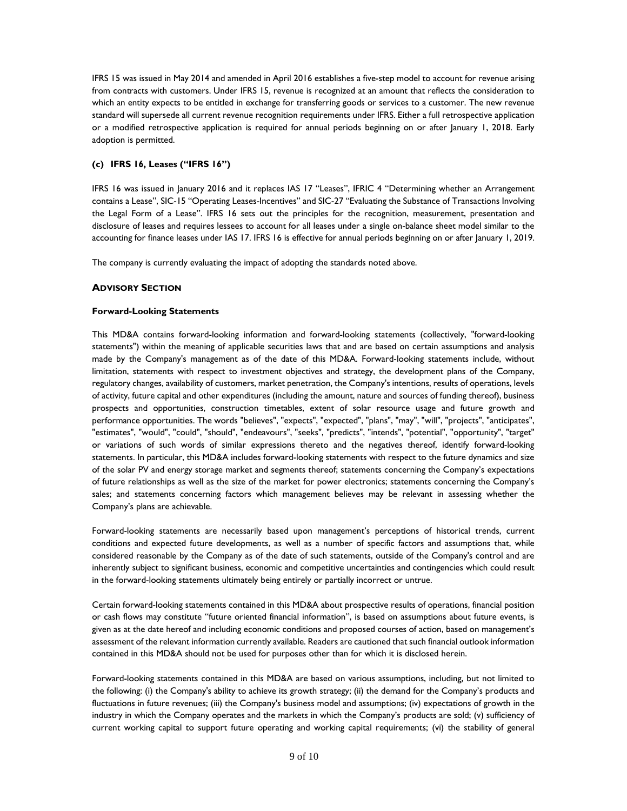IFRS 15 was issued in May 2014 and amended in April 2016 establishes a five-step model to account for revenue arising from contracts with customers. Under IFRS 15, revenue is recognized at an amount that reflects the consideration to which an entity expects to be entitled in exchange for transferring goods or services to a customer. The new revenue standard will supersede all current revenue recognition requirements under IFRS. Either a full retrospective application or a modified retrospective application is required for annual periods beginning on or after January 1, 2018. Early adoption is permitted.

# **(c) IFRS 16, Leases ("IFRS 16")**

IFRS 16 was issued in January 2016 and it replaces IAS 17 "Leases", IFRIC 4 "Determining whether an Arrangement contains a Lease", SIC-15 "Operating Leases-Incentives" and SIC-27 "Evaluating the Substance of Transactions Involving the Legal Form of a Lease". IFRS 16 sets out the principles for the recognition, measurement, presentation and disclosure of leases and requires lessees to account for all leases under a single on-balance sheet model similar to the accounting for finance leases under IAS 17. IFRS 16 is effective for annual periods beginning on or after January 1, 2019.

The company is currently evaluating the impact of adopting the standards noted above.

# **ADVISORY SECTION**

## **Forward-Looking Statements**

This MD&A contains forward-looking information and forward-looking statements (collectively, "forward-looking statements") within the meaning of applicable securities laws that and are based on certain assumptions and analysis made by the Company's management as of the date of this MD&A. Forward-looking statements include, without limitation, statements with respect to investment objectives and strategy, the development plans of the Company, regulatory changes, availability of customers, market penetration, the Company's intentions, results of operations, levels of activity, future capital and other expenditures (including the amount, nature and sources of funding thereof), business prospects and opportunities, construction timetables, extent of solar resource usage and future growth and performance opportunities. The words "believes", "expects", "expected", "plans", "may", "will", "projects", "anticipates", "estimates", "would", "could", "should", "endeavours", "seeks", "predicts", "intends", "potential", "opportunity", "target" or variations of such words of similar expressions thereto and the negatives thereof, identify forward-looking statements. In particular, this MD&A includes forward-looking statements with respect to the future dynamics and size of the solar PV and energy storage market and segments thereof; statements concerning the Company's expectations of future relationships as well as the size of the market for power electronics; statements concerning the Company's sales; and statements concerning factors which management believes may be relevant in assessing whether the Company's plans are achievable.

Forward-looking statements are necessarily based upon management's perceptions of historical trends, current conditions and expected future developments, as well as a number of specific factors and assumptions that, while considered reasonable by the Company as of the date of such statements, outside of the Company's control and are inherently subject to significant business, economic and competitive uncertainties and contingencies which could result in the forward-looking statements ultimately being entirely or partially incorrect or untrue.

Certain forward-looking statements contained in this MD&A about prospective results of operations, financial position or cash flows may constitute "future oriented financial information", is based on assumptions about future events, is given as at the date hereof and including economic conditions and proposed courses of action, based on management's assessment of the relevant information currently available. Readers are cautioned that such financial outlook information contained in this MD&A should not be used for purposes other than for which it is disclosed herein.

Forward-looking statements contained in this MD&A are based on various assumptions, including, but not limited to the following: (i) the Company's ability to achieve its growth strategy; (ii) the demand for the Company's products and fluctuations in future revenues; (iii) the Company's business model and assumptions; (iv) expectations of growth in the industry in which the Company operates and the markets in which the Company's products are sold; (v) sufficiency of current working capital to support future operating and working capital requirements; (vi) the stability of general